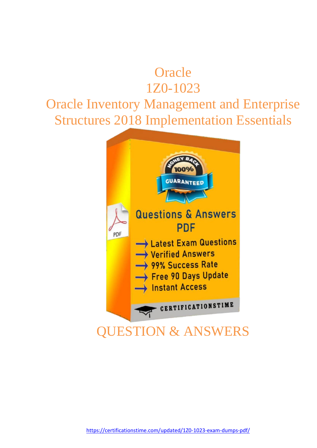# **Oracle** 1Z0-1023

# Oracle Inventory Management and Enterprise Structures 2018 Implementation Essentials

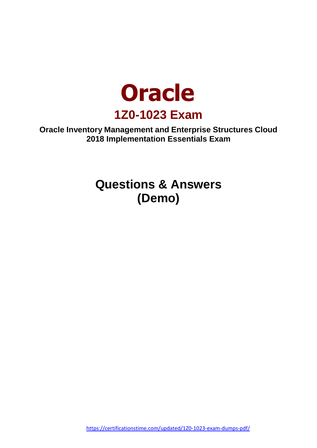

**Oracle Inventory Management and Enterprise Structures Cloud 2018 Implementation Essentials Exam**

> **Questions & Answers (Demo)**

<https://certificationstime.com/updated/1Z0-1023-exam-dumps-pdf/>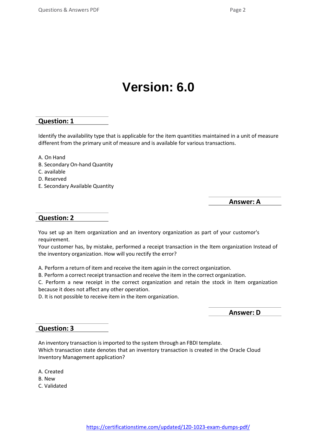# **Version: 6.0**

#### **Question: 1**

Identify the availability type that is applicable for the item quantities maintained in a unit of measure different from the primary unit of measure and is available for various transactions.

- A. On Hand
- B. Secondary On-hand Quantity
- C. available
- D. Reserved
- E. Secondary Available Quantity

**Answer: A**

#### **Question: 2**

You set up an Item organization and an inventory organization as part of your customor's requirement.

Your customer has, by mistake, performed a receipt transaction in the Item organization Instead of the inventory organization. How will you rectify the error?

A. Perform a return of item and receive the item again in the correct organization.

B. Perform a correct receipt transaction and receive the item in the correct organization.

C. Perform a new receipt in the correct organization and retain the stock in Item organization because it does not affect any other operation.

D. It is not possible to receive item in the item organization.

**Answer: D**

#### **Question: 3**

An inventory transaction is imported to the system through an FBDI template. Which transaction state denotes that an inventory transaction is created in the Oracle Cloud Inventory Management application?

- A. Created
- B. New
- C. Validated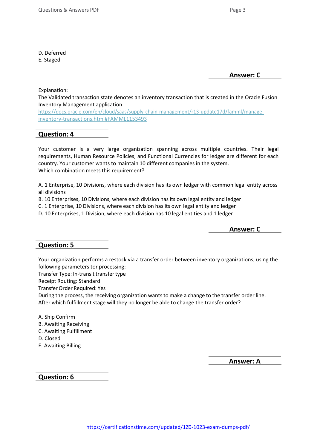E. Staged

**Answer: C**

Explanation:

The Validated transaction state denotes an inventory transaction that is created in the Oracle Fusion Inventory Management application.

https://docs.oracle.com/en/cloud/saas/supply-chain-management/r13-update17d/famml/manageinventory-transactions.html#FAMML1153493

### **Question: 4**

Your customer is a very large organization spanning across multiple countries. Their legal requirements, Human Resource Policies, and Functional Currencies for ledger are different for each country. Your customer wants to maintain 10 different companies in the system. Which combination meets this requirement?

A. 1 Enterprise, 10 Divisions, where each division has its own ledger with common legal entity across all divisions

B. 10 Enterprises, 10 Divisions, where each division has its own legal entity and ledger

C. 1 Enterprise, 10 Divisions, where each division has its own legal entity and ledger

D. 10 Enterprises, 1 Division, where each division has 10 legal entities and 1 ledger

**Answer: C**

## **Question: 5**

Your organization performs a restock via a transfer order between inventory organizations, using the following parameters tor processing:

Transfer Type: In-transit transfertype

Receipt Routing: Standard

Transfer Order Required: Yes

During the process, the receiving organization wants to make a change to the transfer order line. After which fulfillment stage will they no longer be able to change the transfer order?

A. Ship Confirm

- B. Awaiting Receiving
- C. Awaiting Fulfillment
- D. Closed
- E. Awaiting Billing

**Answer: A**

**Question: 6**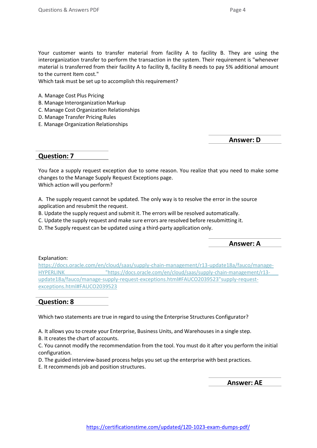Your customer wants to transfer material from facility A to facility B. They are using the interorganization transfer to perform the transaction in the system. Their requirement is "whenever material is transferred from their facility A to facility B, facility B needs to pay 5% additional amount to the current Item cost."

Which task must be set up to accomplish this requirement?

- A. Manage Cost Plus Pricing
- B. Manage Interorganization Markup
- C. Manage Cost Organization Relationships
- D. Manage Transfer Pricing Rules
- E. Manage Organization Relationships

**Answer: D**

#### **Question: 7**

You face a supply request exception due to some reason. You realize that you need to make some changes to the Manage Supply Request Exceptions page. Which action will you perform?

A. The supply request cannot be updated. The only way is to resolve the error in the source application and resubmit the request.

- B. Update the supply request and submit it. The errors will be resolved automatically.
- C. Update the supply request and make sure errors are resolved before resubmitting it.
- D. The Supply request can be updated using a third-party application only.

**Answer: A**

Explanation:

https://docs.oracle.com/en/cloud/saas/supply-chain-management/r13-update18a/fauco/manage-HYPERLINK "https://docs.oracle.com/en/cloud/saas/supply-chain-management/r13 update18a/fauco/manage-supply-request-exceptions.html#FAUCO2039523"supply-requestexceptions.html#FAUCO2039523

### **Question: 8**

Which two statements are true in regard to using the Enterprise Structures Configurator?

A. It allows you to create your Enterprise, Business Units, and Warehouses in a single step.

B. It creates the chart of accounts.

C. You cannot modify the recommendation from the tool. You must do it after you perform the initial configuration.

D. The guided interview-based process helps you set up the enterprise with best practices.

E. It recommends job and position structures.

**Answer: AE**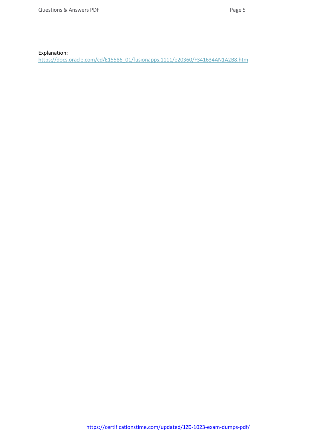Explanation:

https://docs.oracle.com/cd/E15586\_01/fusionapps.1111/e20360/F341634AN1A2B8.htm